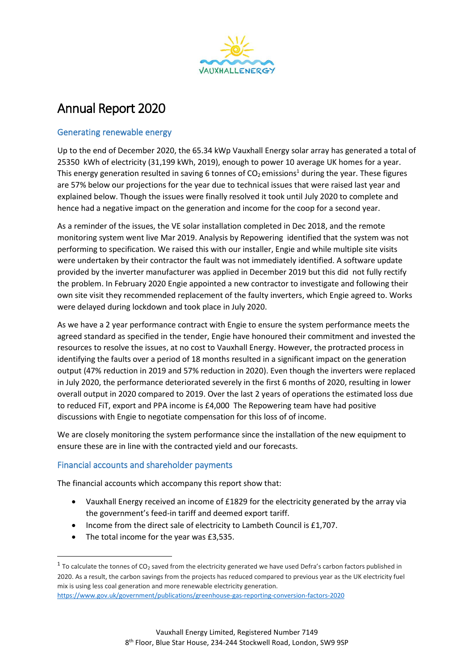

# Annual Report 2020

### Generating renewable energy

Up to the end of December 2020, the 65.34 kWp Vauxhall Energy solar array has generated a total of 25350 kWh of electricity (31,199 kWh, 2019), enough to power 10 average UK homes for a year. This energy generation resulted in saving 6 tonnes of  $CO<sub>2</sub>$  emissions<sup>1</sup> during the year. These figures are 57% below our projections for the year due to technical issues that were raised last year and explained below. Though the issues were finally resolved it took until July 2020 to complete and hence had a negative impact on the generation and income for the coop for a second year.

As a reminder of the issues, the VE solar installation completed in Dec 2018, and the remote monitoring system went live Mar 2019. Analysis by Repowering identified that the system was not performing to specification. We raised this with our installer, Engie and while multiple site visits were undertaken by their contractor the fault was not immediately identified. A software update provided by the inverter manufacturer was applied in December 2019 but this did not fully rectify the problem. In February 2020 Engie appointed a new contractor to investigate and following their own site visit they recommended replacement of the faulty inverters, which Engie agreed to. Works were delayed during lockdown and took place in July 2020.

As we have a 2 year performance contract with Engie to ensure the system performance meets the agreed standard as specified in the tender, Engie have honoured their commitment and invested the resources to resolve the issues, at no cost to Vauxhall Energy. However, the protracted process in identifying the faults over a period of 18 months resulted in a significant impact on the generation output (47% reduction in 2019 and 57% reduction in 2020). Even though the inverters were replaced in July 2020, the performance deteriorated severely in the first 6 months of 2020, resulting in lower overall output in 2020 compared to 2019. Over the last 2 years of operations the estimated loss due to reduced FiT, export and PPA income is £4,000 The Repowering team have had positive discussions with Engie to negotiate compensation for this loss of of income.

We are closely monitoring the system performance since the installation of the new equipment to ensure these are in line with the contracted yield and our forecasts.

#### Financial accounts and shareholder payments

The financial accounts which accompany this report show that:

- Vauxhall Energy received an income of £1829 for the electricity generated by the array via the government's feed-in tariff and deemed export tariff.
- Income from the direct sale of electricity to Lambeth Council is £1,707.
- The total income for the year was £3,535.

<sup>&</sup>lt;sup>1</sup> To calculate the tonnes of CO<sub>2</sub> saved from the electricity generated we have used Defra's carbon factors published in 2020. As a result, the carbon savings from the projects has reduced compared to previous year as the UK electricity fuel mix is using less coal generation and more renewable electricity generation.

<https://www.gov.uk/government/publications/greenhouse-gas-reporting-conversion-factors-2020>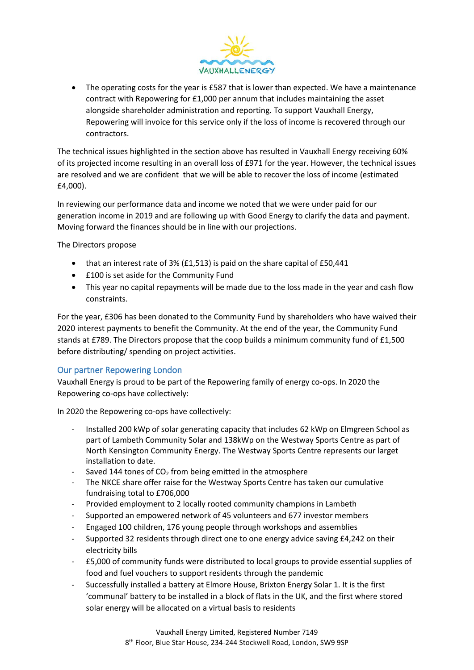

• The operating costs for the year is £587 that is lower than expected. We have a maintenance contract with Repowering for £1,000 per annum that includes maintaining the asset alongside shareholder administration and reporting. To support Vauxhall Energy, Repowering will invoice for this service only if the loss of income is recovered through our contractors.

The technical issues highlighted in the section above has resulted in Vauxhall Energy receiving 60% of its projected income resulting in an overall loss of £971 for the year. However, the technical issues are resolved and we are confident that we will be able to recover the loss of income (estimated £4,000).

In reviewing our performance data and income we noted that we were under paid for our generation income in 2019 and are following up with Good Energy to clarify the data and payment. Moving forward the finances should be in line with our projections.

The Directors propose

- that an interest rate of 3% (£1,513) is paid on the share capital of £50,441
- £100 is set aside for the Community Fund
- This year no capital repayments will be made due to the loss made in the year and cash flow constraints.

For the year, £306 has been donated to the Community Fund by shareholders who have waived their 2020 interest payments to benefit the Community. At the end of the year, the Community Fund stands at £789. The Directors propose that the coop builds a minimum community fund of £1,500 before distributing/ spending on project activities.

#### Our partner Repowering London

Vauxhall Energy is proud to be part of the Repowering family of energy co-ops. In 2020 the Repowering co-ops have collectively:

In 2020 the Repowering co-ops have collectively:

- Installed 200 kWp of solar generating capacity that includes 62 kWp on Elmgreen School as part of Lambeth Community Solar and 138kWp on the Westway Sports Centre as part of North Kensington Community Energy. The Westway Sports Centre represents our larget installation to date.
- Saved 144 tones of  $CO<sub>2</sub>$  from being emitted in the atmosphere
- The NKCE share offer raise for the Westway Sports Centre has taken our cumulative fundraising total to £706,000
- Provided employment to 2 locally rooted community champions in Lambeth
- Supported an empowered network of 45 volunteers and 677 investor members
- Engaged 100 children, 176 young people through workshops and assemblies
- Supported 32 residents through direct one to one energy advice saving £4,242 on their electricity bills
- £5,000 of community funds were distributed to local groups to provide essential supplies of food and fuel vouchers to support residents through the pandemic
- Successfully installed a battery at Elmore House, Brixton Energy Solar 1. It is the first 'communal' battery to be installed in a block of flats in the UK, and the first where stored solar energy will be allocated on a virtual basis to residents